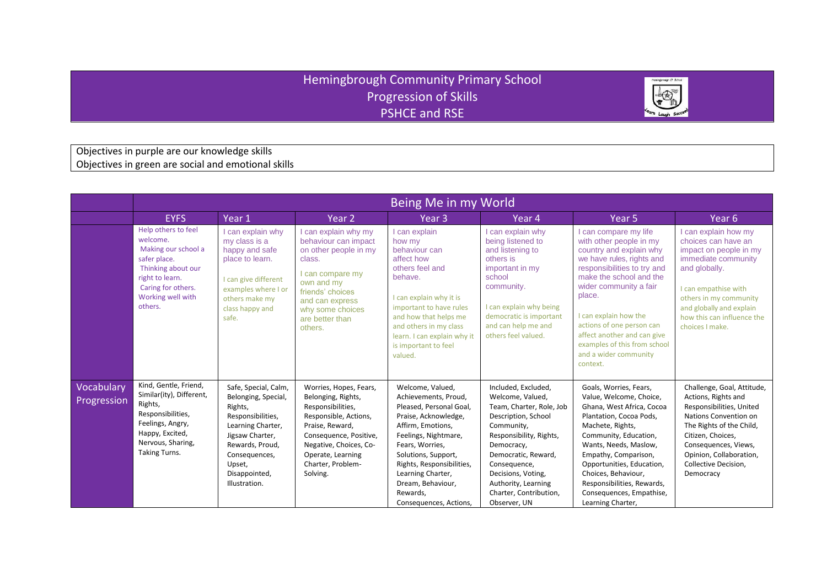## Hemingbrough Community Primary School Progression of Skills PSHCE and RSE



Objectives in purple are our knowledge skills Objectives in green are social and emotional skills

|                           | Being Me in my World                                                                                                                                                  |                                                                                                                                                                                                     |                                                                                                                                                                                                                         |                                                                                                                                                                                                                                                                                                 |                                                                                                                                                                                                                                                                                 |                                                                                                                                                                                                                                                                                                                                                                  |                                                                                                                                                                                                                                                 |  |  |
|---------------------------|-----------------------------------------------------------------------------------------------------------------------------------------------------------------------|-----------------------------------------------------------------------------------------------------------------------------------------------------------------------------------------------------|-------------------------------------------------------------------------------------------------------------------------------------------------------------------------------------------------------------------------|-------------------------------------------------------------------------------------------------------------------------------------------------------------------------------------------------------------------------------------------------------------------------------------------------|---------------------------------------------------------------------------------------------------------------------------------------------------------------------------------------------------------------------------------------------------------------------------------|------------------------------------------------------------------------------------------------------------------------------------------------------------------------------------------------------------------------------------------------------------------------------------------------------------------------------------------------------------------|-------------------------------------------------------------------------------------------------------------------------------------------------------------------------------------------------------------------------------------------------|--|--|
|                           | <b>EYFS</b>                                                                                                                                                           | Year 1                                                                                                                                                                                              | Year <sub>2</sub>                                                                                                                                                                                                       | Year 3                                                                                                                                                                                                                                                                                          | Year 4                                                                                                                                                                                                                                                                          | Year <sub>5</sub>                                                                                                                                                                                                                                                                                                                                                | Year <sub>6</sub>                                                                                                                                                                                                                               |  |  |
|                           | Help others to feel<br>welcome.<br>Making our school a<br>safer place.<br>Thinking about our<br>right to learn.<br>Caring for others.<br>Working well with<br>others. | can explain why<br>my class is a<br>happy and safe<br>place to learn.<br>I can give different<br>examples where I or<br>others make my<br>class happy and<br>safe.                                  | I can explain why my<br>behaviour can impact<br>on other people in my<br>class.<br>I can compare my<br>own and my<br>friends' choices<br>and can express<br>why some choices<br>are better than<br>others.              | I can explain<br>how my<br>behaviour can<br>affect how<br>others feel and<br>behave.<br>I can explain why it is<br>important to have rules<br>and how that helps me<br>and others in my class<br>learn. I can explain why it<br>is important to feel<br>valued.                                 | I can explain why<br>being listened to<br>and listening to<br>others is<br>important in my<br>school<br>community.<br>I can explain why being<br>democratic is important<br>and can help me and<br>others feel valued.                                                          | I can compare my life<br>with other people in my<br>country and explain why<br>we have rules, rights and<br>responsibilities to try and<br>make the school and the<br>wider community a fair<br>place.<br>I can explain how the<br>actions of one person can<br>affect another and can give<br>examples of this from school<br>and a wider community<br>context. | I can explain how my<br>choices can have an<br>impact on people in my<br>immediate community<br>and globally.<br>I can empathise with<br>others in my community<br>and globally and explain<br>how this can influence the<br>choices I make.    |  |  |
| Vocabulary<br>Progression | Kind, Gentle, Friend,<br>Similar(ity), Different,<br>Rights,<br>Responsibilities,<br>Feelings, Angry,<br>Happy, Excited,<br>Nervous, Sharing,<br><b>Taking Turns.</b> | Safe, Special, Calm,<br>Belonging, Special,<br>Rights,<br>Responsibilities,<br>Learning Charter,<br>Jigsaw Charter,<br>Rewards, Proud,<br>Consequences,<br>Upset,<br>Disappointed,<br>Illustration. | Worries, Hopes, Fears,<br>Belonging, Rights,<br>Responsibilities,<br>Responsible, Actions,<br>Praise, Reward,<br>Consequence, Positive,<br>Negative, Choices, Co-<br>Operate, Learning<br>Charter. Problem-<br>Solving. | Welcome, Valued,<br>Achievements, Proud,<br>Pleased, Personal Goal,<br>Praise, Acknowledge,<br>Affirm, Emotions,<br>Feelings, Nightmare,<br>Fears, Worries,<br>Solutions, Support,<br>Rights, Responsibilities,<br>Learning Charter,<br>Dream, Behaviour,<br>Rewards,<br>Consequences, Actions, | Included, Excluded,<br>Welcome, Valued,<br>Team, Charter, Role, Job<br>Description, School<br>Community,<br>Responsibility, Rights,<br>Democracy,<br>Democratic, Reward,<br>Consequence,<br>Decisions, Voting,<br>Authority, Learning<br>Charter, Contribution,<br>Observer, UN | Goals, Worries, Fears,<br>Value, Welcome, Choice,<br>Ghana, West Africa, Cocoa<br>Plantation, Cocoa Pods,<br>Machete, Rights,<br>Community, Education,<br>Wants, Needs, Maslow,<br>Empathy, Comparison,<br>Opportunities, Education,<br>Choices, Behaviour,<br>Responsibilities, Rewards,<br>Consequences, Empathise,<br>Learning Charter,                       | Challenge, Goal, Attitude,<br>Actions, Rights and<br>Responsibilities, United<br>Nations Convention on<br>The Rights of the Child,<br>Citizen, Choices,<br>Consequences, Views,<br>Opinion, Collaboration,<br>Collective Decision.<br>Democracy |  |  |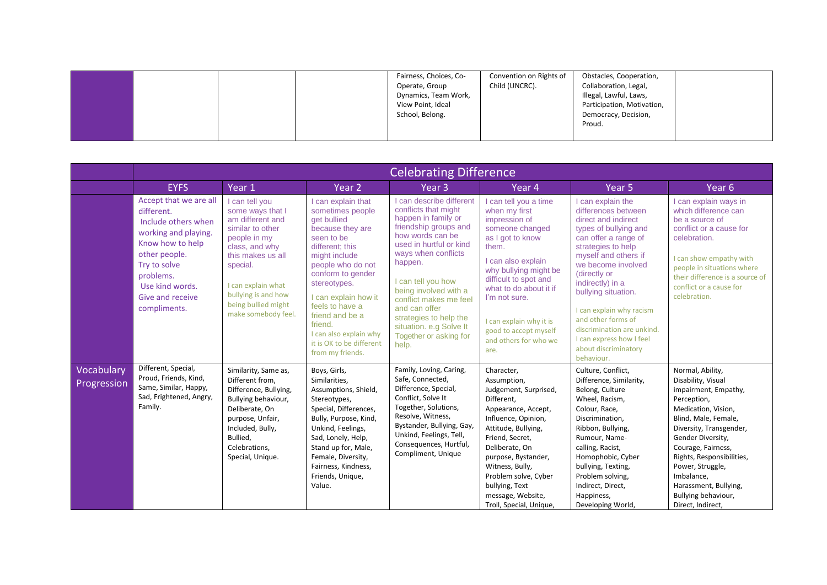|                           | <b>Celebrating Difference</b>                                                                                                                                                                                |                                                                                                                                                                                                                                          |                                                                                                                                                                                                                                                                                                                                          |                                                                                                                                                                                                                                                                                                                                                                     |                                                                                                                                                                                                                                                                                                                 |                                                                                                                                                                                                                                                                                                                                                                                                   |                                                                                                                                                                                                                                                                                                                                        |  |  |
|---------------------------|--------------------------------------------------------------------------------------------------------------------------------------------------------------------------------------------------------------|------------------------------------------------------------------------------------------------------------------------------------------------------------------------------------------------------------------------------------------|------------------------------------------------------------------------------------------------------------------------------------------------------------------------------------------------------------------------------------------------------------------------------------------------------------------------------------------|---------------------------------------------------------------------------------------------------------------------------------------------------------------------------------------------------------------------------------------------------------------------------------------------------------------------------------------------------------------------|-----------------------------------------------------------------------------------------------------------------------------------------------------------------------------------------------------------------------------------------------------------------------------------------------------------------|---------------------------------------------------------------------------------------------------------------------------------------------------------------------------------------------------------------------------------------------------------------------------------------------------------------------------------------------------------------------------------------------------|----------------------------------------------------------------------------------------------------------------------------------------------------------------------------------------------------------------------------------------------------------------------------------------------------------------------------------------|--|--|
|                           | <b>EYFS</b>                                                                                                                                                                                                  | Year 1                                                                                                                                                                                                                                   | Year 2                                                                                                                                                                                                                                                                                                                                   | Year <sub>3</sub>                                                                                                                                                                                                                                                                                                                                                   | Year 4                                                                                                                                                                                                                                                                                                          | Year <sub>5</sub>                                                                                                                                                                                                                                                                                                                                                                                 | Year <sub>6</sub>                                                                                                                                                                                                                                                                                                                      |  |  |
|                           | Accept that we are all<br>different.<br>Include others when<br>working and playing.<br>Know how to help<br>other people.<br>Try to solve<br>problems.<br>Use kind words.<br>Give and receive<br>compliments. | I can tell you<br>some ways that I<br>am different and<br>similar to other<br>people in my<br>class, and why<br>this makes us all<br>special.<br>I can explain what<br>bullying is and how<br>being bullied might<br>make somebody feel. | I can explain that<br>sometimes people<br>get bullied<br>because they are<br>seen to be<br>different: this<br>might include<br>people who do not<br>conform to gender<br>stereotypes.<br>I can explain how it<br>feels to have a<br>friend and be a<br>friend.<br>I can also explain why<br>it is OK to be different<br>from my friends. | I can describe different<br>conflicts that might<br>happen in family or<br>friendship groups and<br>how words can be<br>used in hurtful or kind<br>ways when conflicts<br>happen.<br>I can tell you how<br>being involved with a<br>conflict makes me feel<br>and can offer<br>strategies to help the<br>situation. e.g Solve It<br>Together or asking for<br>help. | I can tell you a time<br>when my first<br>impression of<br>someone changed<br>as I got to know<br>them.<br>I can also explain<br>why bullying might be<br>difficult to spot and<br>what to do about it if<br>I'm not sure.<br>I can explain why it is<br>good to accept myself<br>and others for who we<br>are. | I can explain the<br>differences between<br>direct and indirect<br>types of bullying and<br>can offer a range of<br>strategies to help<br>myself and others if<br>we become involved<br>(directly or<br>indirectly) in a<br>bullying situation.<br>I can explain why racism<br>and other forms of<br>discrimination are unkind.<br>I can express how I feel<br>about discriminatory<br>behaviour. | I can explain ways in<br>which difference can<br>be a source of<br>conflict or a cause for<br>celebration.<br>I can show empathy with<br>people in situations where<br>their difference is a source of<br>conflict or a cause for<br>celebration.                                                                                      |  |  |
| Vocabulary<br>Progression | Different, Special,<br>Proud, Friends, Kind,<br>Same, Similar, Happy,<br>Sad, Frightened, Angry,<br>Family.                                                                                                  | Similarity, Same as,<br>Different from,<br>Difference, Bullying,<br>Bullying behaviour,<br>Deliberate, On<br>purpose, Unfair,<br>Included, Bully,<br>Bullied,<br>Celebrations,<br>Special, Unique.                                       | Boys, Girls,<br>Similarities,<br>Assumptions, Shield,<br>Stereotypes,<br>Special, Differences,<br>Bully, Purpose, Kind,<br>Unkind, Feelings,<br>Sad, Lonely, Help,<br>Stand up for, Male,<br>Female, Diversity,<br>Fairness, Kindness,<br>Friends, Unique,<br>Value.                                                                     | Family, Loving, Caring,<br>Safe, Connected,<br>Difference, Special,<br>Conflict, Solve It<br>Together, Solutions,<br>Resolve, Witness,<br>Bystander, Bullying, Gay,<br>Unkind, Feelings, Tell,<br>Consequences, Hurtful,<br>Compliment, Unique                                                                                                                      | Character,<br>Assumption,<br>Judgement, Surprised,<br>Different,<br>Appearance, Accept,<br>Influence, Opinion,<br>Attitude, Bullying,<br>Friend, Secret,<br>Deliberate, On<br>purpose, Bystander,<br>Witness, Bully,<br>Problem solve, Cyber<br>bullying, Text<br>message, Website,<br>Troll, Special, Unique,  | Culture, Conflict,<br>Difference, Similarity,<br>Belong, Culture<br>Wheel, Racism,<br>Colour, Race,<br>Discrimination,<br>Ribbon, Bullying,<br>Rumour, Name-<br>calling, Racist,<br>Homophobic, Cyber<br>bullying, Texting,<br>Problem solving,<br>Indirect, Direct,<br>Happiness,<br>Developing World,                                                                                           | Normal, Ability,<br>Disability, Visual<br>impairment, Empathy,<br>Perception,<br>Medication, Vision,<br>Blind, Male, Female,<br>Diversity, Transgender,<br>Gender Diversity,<br>Courage, Fairness,<br>Rights, Responsibilities,<br>Power, Struggle,<br>Imbalance,<br>Harassment, Bullying,<br>Bullying behaviour,<br>Direct, Indirect, |  |  |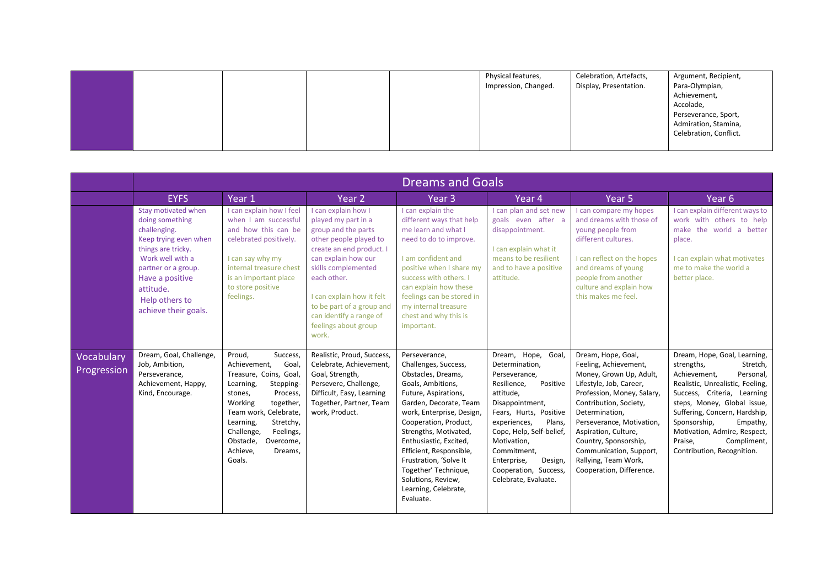|  |  | Physical features,   | Celebration, Artefacts, | Argument, Recipient,   |
|--|--|----------------------|-------------------------|------------------------|
|  |  | Impression, Changed. | Display, Presentation.  | Para-Olympian,         |
|  |  |                      |                         | Achievement,           |
|  |  |                      |                         | Accolade,              |
|  |  |                      |                         | Perseverance, Sport,   |
|  |  |                      |                         | Admiration, Stamina,   |
|  |  |                      |                         | Celebration, Conflict. |
|  |  |                      |                         |                        |

|                           | <b>Dreams and Goals</b>                                                                                                                                                                                                    |                                                                                                                                                                                                                                                                                         |                                                                                                                                                                                                                                                                                                            |                                                                                                                                                                                                                                                                                                                                                                                     |                                                                                                                                                                                                                                                                                                              |                                                                                                                                                                                                                                                                                                                                          |                                                                                                                                                                                                                                                                                                                                            |  |
|---------------------------|----------------------------------------------------------------------------------------------------------------------------------------------------------------------------------------------------------------------------|-----------------------------------------------------------------------------------------------------------------------------------------------------------------------------------------------------------------------------------------------------------------------------------------|------------------------------------------------------------------------------------------------------------------------------------------------------------------------------------------------------------------------------------------------------------------------------------------------------------|-------------------------------------------------------------------------------------------------------------------------------------------------------------------------------------------------------------------------------------------------------------------------------------------------------------------------------------------------------------------------------------|--------------------------------------------------------------------------------------------------------------------------------------------------------------------------------------------------------------------------------------------------------------------------------------------------------------|------------------------------------------------------------------------------------------------------------------------------------------------------------------------------------------------------------------------------------------------------------------------------------------------------------------------------------------|--------------------------------------------------------------------------------------------------------------------------------------------------------------------------------------------------------------------------------------------------------------------------------------------------------------------------------------------|--|
|                           | <b>EYFS</b>                                                                                                                                                                                                                | Year 1                                                                                                                                                                                                                                                                                  | Year 2                                                                                                                                                                                                                                                                                                     | Year <sub>3</sub>                                                                                                                                                                                                                                                                                                                                                                   | Year 4                                                                                                                                                                                                                                                                                                       | Year <sub>5</sub>                                                                                                                                                                                                                                                                                                                        | Year <sub>6</sub>                                                                                                                                                                                                                                                                                                                          |  |
|                           | Stay motivated when<br>doing something<br>challenging.<br>Keep trying even when<br>things are tricky.<br>Work well with a<br>partner or a group.<br>Have a positive<br>attitude.<br>Help others to<br>achieve their goals. | I can explain how I feel<br>when I am successful<br>and how this can be<br>celebrated positively.<br>I can say why my<br>internal treasure chest<br>is an important place<br>to store positive<br>feelings.                                                                             | I can explain how I<br>played my part in a<br>group and the parts<br>other people played to<br>create an end product. I<br>can explain how our<br>skills complemented<br>each other.<br>I can explain how it felt<br>to be part of a group and<br>can identify a range of<br>feelings about group<br>work. | I can explain the<br>different ways that help<br>me learn and what I<br>need to do to improve.<br>I am confident and<br>positive when I share my<br>success with others. I<br>can explain how these<br>feelings can be stored in<br>my internal treasure<br>chest and why this is<br>important.                                                                                     | I can plan and set new<br>goals even after a<br>disappointment.<br>I can explain what it<br>means to be resilient<br>and to have a positive<br>attitude.                                                                                                                                                     | I can compare my hopes<br>and dreams with those of<br>young people from<br>different cultures.<br>I can reflect on the hopes<br>and dreams of young<br>people from another<br>culture and explain how<br>this makes me feel.                                                                                                             | I can explain different ways to<br>work with others to help<br>make the world a better<br>place.<br>I can explain what motivates<br>me to make the world a<br>better place.                                                                                                                                                                |  |
| Vocabulary<br>Progression | Dream, Goal, Challenge,<br>Job, Ambition,<br>Perseverance.<br>Achievement, Happy,<br>Kind, Encourage.                                                                                                                      | Proud,<br>Success,<br>Goal,<br>Achievement,<br>Treasure, Coins, Goal,<br>Learning,<br>Stepping-<br>Process,<br>stones,<br>Working<br>together,<br>Team work, Celebrate,<br>Learning,<br>Stretchy,<br>Challenge,<br>Feelings,<br>Overcome,<br>Obstacle,<br>Achieve,<br>Dreams,<br>Goals. | Realistic, Proud, Success,<br>Celebrate, Achievement,<br>Goal, Strength,<br>Persevere, Challenge,<br>Difficult, Easy, Learning<br>Together, Partner, Team<br>work, Product.                                                                                                                                | Perseverance,<br>Challenges, Success,<br>Obstacles, Dreams,<br>Goals, Ambitions,<br>Future, Aspirations,<br>Garden, Decorate, Team<br>work, Enterprise, Design,<br>Cooperation, Product,<br>Strengths, Motivated,<br>Enthusiastic, Excited,<br>Efficient, Responsible,<br>Frustration, 'Solve It<br>Together' Technique,<br>Solutions, Review,<br>Learning, Celebrate,<br>Evaluate. | Dream, Hope,<br>Goal,<br>Determination,<br>Perseverance,<br>Positive<br>Resilience,<br>attitude,<br>Disappointment,<br>Fears, Hurts, Positive<br>experiences,<br>Plans,<br>Cope, Help, Self-belief,<br>Motivation,<br>Commitment,<br>Enterprise,<br>Design,<br>Cooperation, Success,<br>Celebrate, Evaluate. | Dream, Hope, Goal,<br>Feeling, Achievement,<br>Money, Grown Up, Adult,<br>Lifestyle, Job, Career,<br>Profession, Money, Salary,<br>Contribution, Society,<br>Determination,<br>Perseverance, Motivation,<br>Aspiration, Culture,<br>Country, Sponsorship,<br>Communication, Support,<br>Rallying, Team Work,<br>Cooperation, Difference. | Dream, Hope, Goal, Learning,<br>strengths,<br>Stretch,<br>Achievement,<br>Personal,<br>Realistic, Unrealistic, Feeling,<br>Success, Criteria, Learning<br>steps, Money, Global issue,<br>Suffering, Concern, Hardship,<br>Sponsorship,<br>Empathy,<br>Motivation, Admire, Respect,<br>Praise,<br>Compliment,<br>Contribution, Recognition. |  |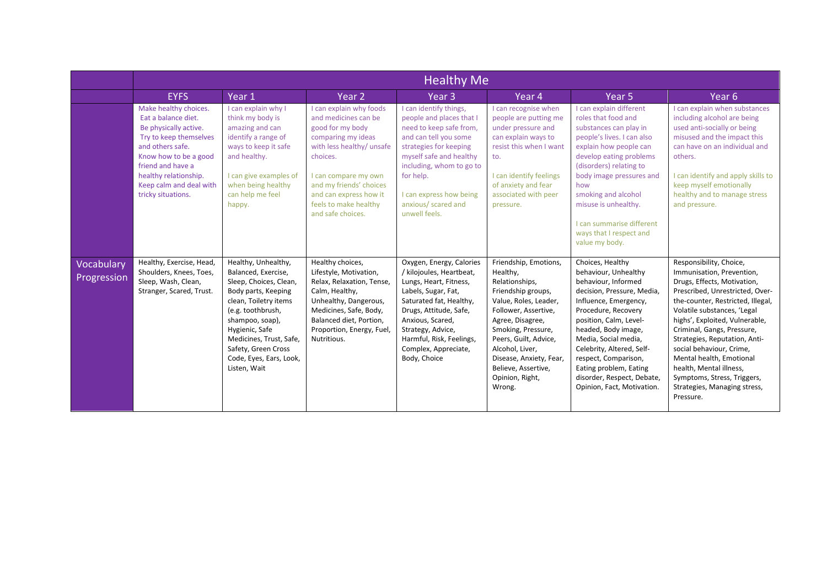|                           | <b>Healthy Me</b>                                                                                                                                                                                                                           |                                                                                                                                                                                                                                                                             |                                                                                                                                                                                                                                                               |                                                                                                                                                                                                                                                                         |                                                                                                                                                                                                                                                                                                 |                                                                                                                                                                                                                                                                                                                                                                   |                                                                                                                                                                                                                                                                                                                                                                                                                                                            |  |  |
|---------------------------|---------------------------------------------------------------------------------------------------------------------------------------------------------------------------------------------------------------------------------------------|-----------------------------------------------------------------------------------------------------------------------------------------------------------------------------------------------------------------------------------------------------------------------------|---------------------------------------------------------------------------------------------------------------------------------------------------------------------------------------------------------------------------------------------------------------|-------------------------------------------------------------------------------------------------------------------------------------------------------------------------------------------------------------------------------------------------------------------------|-------------------------------------------------------------------------------------------------------------------------------------------------------------------------------------------------------------------------------------------------------------------------------------------------|-------------------------------------------------------------------------------------------------------------------------------------------------------------------------------------------------------------------------------------------------------------------------------------------------------------------------------------------------------------------|------------------------------------------------------------------------------------------------------------------------------------------------------------------------------------------------------------------------------------------------------------------------------------------------------------------------------------------------------------------------------------------------------------------------------------------------------------|--|--|
|                           | <b>EYFS</b>                                                                                                                                                                                                                                 | Year 1                                                                                                                                                                                                                                                                      | Year 2                                                                                                                                                                                                                                                        | Year <sub>3</sub>                                                                                                                                                                                                                                                       | Year 4                                                                                                                                                                                                                                                                                          | Year <sub>5</sub>                                                                                                                                                                                                                                                                                                                                                 | Year <sub>6</sub>                                                                                                                                                                                                                                                                                                                                                                                                                                          |  |  |
|                           | Make healthy choices.<br>Eat a balance diet.<br>Be physically active.<br>Try to keep themselves<br>and others safe.<br>Know how to be a good<br>friend and have a<br>healthy relationship.<br>Keep calm and deal with<br>tricky situations. | I can explain why I<br>think my body is<br>amazing and can<br>identify a range of<br>ways to keep it safe<br>and healthy.<br>I can give examples of<br>when being healthy<br>can help me feel<br>happy.                                                                     | I can explain why foods<br>and medicines can be<br>good for my body<br>comparing my ideas<br>with less healthy/ unsafe<br>choices.<br>I can compare my own<br>and my friends' choices<br>and can express how it<br>feels to make healthy<br>and safe choices. | I can identify things,<br>people and places that I<br>need to keep safe from,<br>and can tell you some<br>strategies for keeping<br>myself safe and healthy<br>including, whom to go to<br>for help.<br>I can express how being<br>anxious/ scared and<br>unwell feels. | I can recognise when<br>people are putting me<br>under pressure and<br>can explain ways to<br>resist this when I want<br>to.<br>I can identify feelings<br>of anxiety and fear<br>associated with peer<br>pressure.                                                                             | I can explain different<br>roles that food and<br>substances can play in<br>people's lives. I can also<br>explain how people can<br>develop eating problems<br>(disorders) relating to<br>body image pressures and<br>how<br>smoking and alcohol<br>misuse is unhealthy.<br>I can summarise different<br>ways that I respect and<br>value my body.                | I can explain when substances<br>including alcohol are being<br>used anti-socially or being<br>misused and the impact this<br>can have on an individual and<br>others.<br>I can identify and apply skills to<br>keep myself emotionally<br>healthy and to manage stress<br>and pressure.                                                                                                                                                                   |  |  |
| Vocabulary<br>Progression | Healthy, Exercise, Head,<br>Shoulders, Knees, Toes,<br>Sleep, Wash, Clean,<br>Stranger, Scared, Trust.                                                                                                                                      | Healthy, Unhealthy,<br>Balanced, Exercise,<br>Sleep, Choices, Clean,<br>Body parts, Keeping<br>clean, Toiletry items<br>(e.g. toothbrush,<br>shampoo, soap),<br>Hygienic, Safe<br>Medicines, Trust, Safe,<br>Safety, Green Cross<br>Code, Eyes, Ears, Look,<br>Listen, Wait | Healthy choices,<br>Lifestyle, Motivation,<br>Relax, Relaxation, Tense,<br>Calm, Healthy,<br>Unhealthy, Dangerous,<br>Medicines, Safe, Body,<br>Balanced diet, Portion,<br>Proportion, Energy, Fuel,<br>Nutritious.                                           | Oxygen, Energy, Calories<br>/ kilojoules, Heartbeat,<br>Lungs, Heart, Fitness,<br>Labels, Sugar, Fat,<br>Saturated fat, Healthy,<br>Drugs, Attitude, Safe,<br>Anxious, Scared,<br>Strategy, Advice,<br>Harmful, Risk, Feelings,<br>Complex, Appreciate,<br>Body, Choice | Friendship, Emotions,<br>Healthy.<br>Relationships,<br>Friendship groups,<br>Value, Roles, Leader,<br>Follower, Assertive,<br>Agree, Disagree,<br>Smoking, Pressure,<br>Peers, Guilt, Advice,<br>Alcohol, Liver,<br>Disease, Anxiety, Fear,<br>Believe, Assertive,<br>Opinion, Right,<br>Wrong. | Choices, Healthy<br>behaviour, Unhealthy<br>behaviour, Informed<br>decision, Pressure, Media,<br>Influence, Emergency,<br>Procedure, Recovery<br>position, Calm, Level-<br>headed, Body image,<br>Media, Social media,<br>Celebrity, Altered, Self-<br>respect, Comparison,<br>Eating problem, Eating<br>disorder, Respect, Debate,<br>Opinion, Fact, Motivation. | Responsibility, Choice,<br>Immunisation, Prevention,<br>Drugs, Effects, Motivation,<br>Prescribed, Unrestricted, Over-<br>the-counter, Restricted, Illegal,<br>Volatile substances, 'Legal<br>highs', Exploited, Vulnerable,<br>Criminal, Gangs, Pressure,<br>Strategies, Reputation, Anti-<br>social behaviour, Crime,<br>Mental health, Emotional<br>health, Mental illness,<br>Symptoms, Stress, Triggers,<br>Strategies, Managing stress,<br>Pressure. |  |  |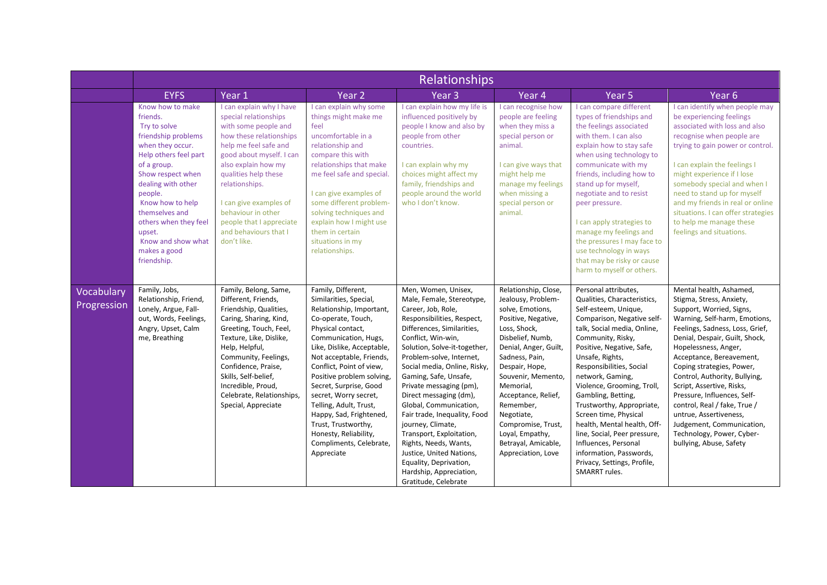|                           | <b>Relationships</b>                                                                                                                                                                                                                                                                                                |                                                                                                                                                                                                                                                                                                                                                |                                                                                                                                                                                                                                                                                                                                                                                                                                                                 |                                                                                                                                                                                                                                                                                                                                                                                                                                                                                                                                                                                 |                                                                                                                                                                                                                                                                                                                                                                   |                                                                                                                                                                                                                                                                                                                                                                                                                                                                                                                                           |                                                                                                                                                                                                                                                                                                                                                                                                                                                                                                                    |  |  |
|---------------------------|---------------------------------------------------------------------------------------------------------------------------------------------------------------------------------------------------------------------------------------------------------------------------------------------------------------------|------------------------------------------------------------------------------------------------------------------------------------------------------------------------------------------------------------------------------------------------------------------------------------------------------------------------------------------------|-----------------------------------------------------------------------------------------------------------------------------------------------------------------------------------------------------------------------------------------------------------------------------------------------------------------------------------------------------------------------------------------------------------------------------------------------------------------|---------------------------------------------------------------------------------------------------------------------------------------------------------------------------------------------------------------------------------------------------------------------------------------------------------------------------------------------------------------------------------------------------------------------------------------------------------------------------------------------------------------------------------------------------------------------------------|-------------------------------------------------------------------------------------------------------------------------------------------------------------------------------------------------------------------------------------------------------------------------------------------------------------------------------------------------------------------|-------------------------------------------------------------------------------------------------------------------------------------------------------------------------------------------------------------------------------------------------------------------------------------------------------------------------------------------------------------------------------------------------------------------------------------------------------------------------------------------------------------------------------------------|--------------------------------------------------------------------------------------------------------------------------------------------------------------------------------------------------------------------------------------------------------------------------------------------------------------------------------------------------------------------------------------------------------------------------------------------------------------------------------------------------------------------|--|--|
|                           | <b>EYFS</b>                                                                                                                                                                                                                                                                                                         | Year 1                                                                                                                                                                                                                                                                                                                                         | Year <sub>2</sub>                                                                                                                                                                                                                                                                                                                                                                                                                                               | Year <sub>3</sub>                                                                                                                                                                                                                                                                                                                                                                                                                                                                                                                                                               | Year 4                                                                                                                                                                                                                                                                                                                                                            | Year <sub>5</sub>                                                                                                                                                                                                                                                                                                                                                                                                                                                                                                                         | Year <sub>6</sub>                                                                                                                                                                                                                                                                                                                                                                                                                                                                                                  |  |  |
|                           | Know how to make<br>friends.<br>Try to solve<br>friendship problems<br>when they occur.<br>Help others feel part<br>of a group.<br>Show respect when<br>dealing with other<br>people.<br>Know how to help<br>themselves and<br>others when they feel<br>upset.<br>Know and show what<br>makes a good<br>friendship. | I can explain why I have<br>special relationships<br>with some people and<br>how these relationships<br>help me feel safe and<br>good about myself. I can<br>also explain how my<br>qualities help these<br>relationships.<br>I can give examples of<br>behaviour in other<br>people that I appreciate<br>and behaviours that I<br>don't like. | I can explain why some<br>things might make me<br>feel<br>uncomfortable in a<br>relationship and<br>compare this with<br>relationships that make<br>me feel safe and special.<br>I can give examples of<br>some different problem-<br>solving techniques and<br>explain how I might use<br>them in certain<br>situations in my<br>relationships.                                                                                                                | I can explain how my life is<br>influenced positively by<br>people I know and also by<br>people from other<br>countries.<br>I can explain why my<br>choices might affect my<br>family, friendships and<br>people around the world<br>who I don't know.                                                                                                                                                                                                                                                                                                                          | I can recognise how<br>people are feeling<br>when they miss a<br>special person or<br>animal.<br>I can give ways that<br>might help me<br>manage my feelings<br>when missing a<br>special person or<br>animal.                                                                                                                                                    | I can compare different<br>types of friendships and<br>the feelings associated<br>with them. I can also<br>explain how to stay safe<br>when using technology to<br>communicate with my<br>friends, including how to<br>stand up for myself,<br>negotiate and to resist<br>peer pressure.<br>I can apply strategies to<br>manage my feelings and<br>the pressures I may face to<br>use technology in ways<br>that may be risky or cause<br>harm to myself or others.                                                                       | I can identify when people may<br>be experiencing feelings<br>associated with loss and also<br>recognise when people are<br>trying to gain power or control.<br>I can explain the feelings I<br>might experience if I lose<br>somebody special and when I<br>need to stand up for myself<br>and my friends in real or online<br>situations. I can offer strategies<br>to help me manage these<br>feelings and situations.                                                                                          |  |  |
| Vocabulary<br>Progression | Family, Jobs,<br>Relationship, Friend,<br>Lonely, Argue, Fall-<br>out, Words, Feelings,<br>Angry, Upset, Calm<br>me, Breathing                                                                                                                                                                                      | Family, Belong, Same,<br>Different, Friends,<br>Friendship, Qualities,<br>Caring, Sharing, Kind,<br>Greeting, Touch, Feel,<br>Texture, Like, Dislike,<br>Help, Helpful,<br>Community, Feelings,<br>Confidence, Praise,<br>Skills, Self-belief,<br>Incredible, Proud,<br>Celebrate, Relationships,<br>Special, Appreciate                       | Family, Different,<br>Similarities, Special,<br>Relationship, Important,<br>Co-operate, Touch,<br>Physical contact,<br>Communication, Hugs,<br>Like, Dislike, Acceptable,<br>Not acceptable, Friends,<br>Conflict, Point of view,<br>Positive problem solving,<br>Secret, Surprise, Good<br>secret, Worry secret,<br>Telling, Adult, Trust,<br>Happy, Sad, Frightened,<br>Trust, Trustworthy,<br>Honesty, Reliability,<br>Compliments, Celebrate,<br>Appreciate | Men, Women, Unisex,<br>Male, Female, Stereotype,<br>Career, Job, Role,<br>Responsibilities, Respect,<br>Differences, Similarities,<br>Conflict, Win-win,<br>Solution, Solve-it-together,<br>Problem-solve, Internet,<br>Social media, Online, Risky,<br>Gaming, Safe, Unsafe,<br>Private messaging (pm),<br>Direct messaging (dm),<br>Global, Communication,<br>Fair trade, Inequality, Food<br>journey, Climate,<br>Transport, Exploitation,<br>Rights, Needs, Wants,<br>Justice, United Nations,<br>Equality, Deprivation,<br>Hardship, Appreciation,<br>Gratitude, Celebrate | Relationship, Close,<br>Jealousy, Problem-<br>solve, Emotions,<br>Positive, Negative,<br>Loss, Shock,<br>Disbelief, Numb,<br>Denial, Anger, Guilt,<br>Sadness, Pain,<br>Despair, Hope,<br>Souvenir, Memento,<br>Memorial,<br>Acceptance, Relief,<br>Remember,<br>Negotiate,<br>Compromise, Trust,<br>Loyal, Empathy,<br>Betrayal, Amicable,<br>Appreciation, Love | Personal attributes,<br>Qualities, Characteristics,<br>Self-esteem, Unique,<br>Comparison, Negative self-<br>talk, Social media, Online,<br>Community, Risky,<br>Positive, Negative, Safe,<br>Unsafe, Rights,<br>Responsibilities, Social<br>network, Gaming,<br>Violence, Grooming, Troll,<br>Gambling, Betting,<br>Trustworthy, Appropriate,<br>Screen time, Physical<br>health, Mental health, Off-<br>line, Social, Peer pressure,<br>Influences, Personal<br>information, Passwords,<br>Privacy, Settings, Profile,<br>SMARRT rules. | Mental health, Ashamed,<br>Stigma, Stress, Anxiety,<br>Support, Worried, Signs,<br>Warning, Self-harm, Emotions,<br>Feelings, Sadness, Loss, Grief,<br>Denial, Despair, Guilt, Shock,<br>Hopelessness, Anger,<br>Acceptance, Bereavement,<br>Coping strategies, Power,<br>Control, Authority, Bullying,<br>Script, Assertive, Risks,<br>Pressure, Influences, Self-<br>control, Real / fake, True /<br>untrue, Assertiveness,<br>Judgement, Communication,<br>Technology, Power, Cyber-<br>bullying, Abuse, Safety |  |  |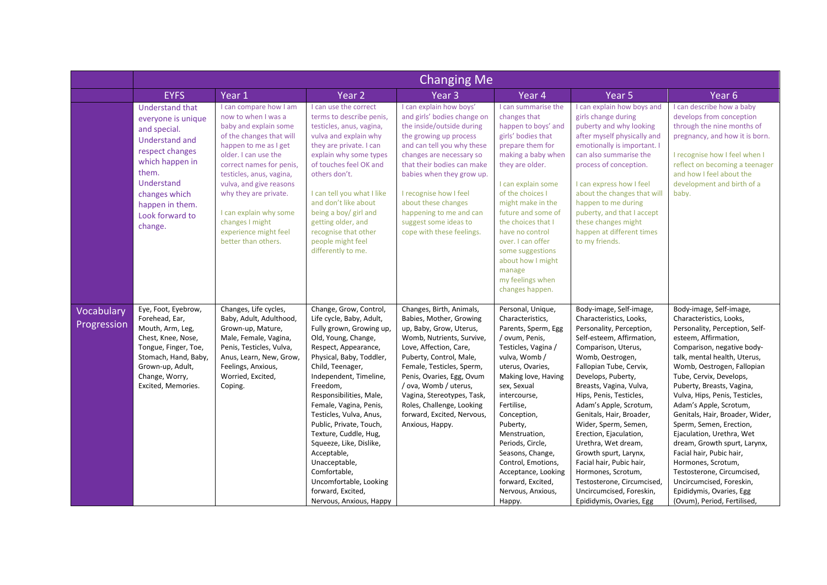|                           | <b>Changing Me</b>                                                                                                                                                                                                   |                                                                                                                                                                                                                                                                                                                                                              |                                                                                                                                                                                                                                                                                                                                                                                                                                                                                                              |                                                                                                                                                                                                                                                                                                                                                                      |                                                                                                                                                                                                                                                                                                                                                                                                     |                                                                                                                                                                                                                                                                                                                                                                                                                                                                                                                                                               |                                                                                                                                                                                                                                                                                                                                                                                                                                                                                                                                                                                                                                |  |  |
|---------------------------|----------------------------------------------------------------------------------------------------------------------------------------------------------------------------------------------------------------------|--------------------------------------------------------------------------------------------------------------------------------------------------------------------------------------------------------------------------------------------------------------------------------------------------------------------------------------------------------------|--------------------------------------------------------------------------------------------------------------------------------------------------------------------------------------------------------------------------------------------------------------------------------------------------------------------------------------------------------------------------------------------------------------------------------------------------------------------------------------------------------------|----------------------------------------------------------------------------------------------------------------------------------------------------------------------------------------------------------------------------------------------------------------------------------------------------------------------------------------------------------------------|-----------------------------------------------------------------------------------------------------------------------------------------------------------------------------------------------------------------------------------------------------------------------------------------------------------------------------------------------------------------------------------------------------|---------------------------------------------------------------------------------------------------------------------------------------------------------------------------------------------------------------------------------------------------------------------------------------------------------------------------------------------------------------------------------------------------------------------------------------------------------------------------------------------------------------------------------------------------------------|--------------------------------------------------------------------------------------------------------------------------------------------------------------------------------------------------------------------------------------------------------------------------------------------------------------------------------------------------------------------------------------------------------------------------------------------------------------------------------------------------------------------------------------------------------------------------------------------------------------------------------|--|--|
|                           | <b>EYFS</b>                                                                                                                                                                                                          | Year 1                                                                                                                                                                                                                                                                                                                                                       | Year <sub>2</sub>                                                                                                                                                                                                                                                                                                                                                                                                                                                                                            | Year <sub>3</sub>                                                                                                                                                                                                                                                                                                                                                    | Year 4                                                                                                                                                                                                                                                                                                                                                                                              | Year <sub>5</sub>                                                                                                                                                                                                                                                                                                                                                                                                                                                                                                                                             | Year <sub>6</sub>                                                                                                                                                                                                                                                                                                                                                                                                                                                                                                                                                                                                              |  |  |
|                           | <b>Understand that</b><br>everyone is unique<br>and special.<br><b>Understand and</b><br>respect changes<br>which happen in<br>them.<br>Understand<br>changes which<br>happen in them.<br>Look forward to<br>change. | I can compare how I am<br>now to when I was a<br>baby and explain some<br>of the changes that will<br>happen to me as I get<br>older. I can use the<br>correct names for penis,<br>testicles, anus, vagina,<br>vulva, and give reasons<br>why they are private.<br>I can explain why some<br>changes I might<br>experience might feel<br>better than others. | I can use the correct<br>terms to describe penis,<br>testicles, anus, vagina,<br>vulva and explain why<br>they are private. I can<br>explain why some types<br>of touches feel OK and<br>others don't.<br>I can tell you what I like<br>and don't like about<br>being a boy/ girl and<br>getting older, and<br>recognise that other<br>people might feel<br>differently to me.                                                                                                                               | I can explain how boys'<br>and girls' bodies change on<br>the inside/outside during<br>the growing up process<br>and can tell you why these<br>changes are necessary so<br>that their bodies can make<br>babies when they grow up.<br>I recognise how I feel<br>about these changes<br>happening to me and can<br>suggest some ideas to<br>cope with these feelings. | I can summarise the<br>changes that<br>happen to boys' and<br>girls' bodies that<br>prepare them for<br>making a baby when<br>they are older.<br>I can explain some<br>of the choices I<br>might make in the<br>future and some of<br>the choices that I<br>have no control<br>over. I can offer<br>some suggestions<br>about how I might<br>manage<br>my feelings when<br>changes happen.          | I can explain how boys and<br>girls change during<br>puberty and why looking<br>after myself physically and<br>emotionally is important. I<br>can also summarise the<br>process of conception.<br>I can express how I feel<br>about the changes that will<br>happen to me during<br>puberty, and that I accept<br>these changes might<br>happen at different times<br>to my friends.                                                                                                                                                                          | I can describe how a baby<br>develops from conception<br>through the nine months of<br>pregnancy, and how it is born.<br>I recognise how I feel when I<br>reflect on becoming a teenager<br>and how I feel about the<br>development and birth of a<br>baby.                                                                                                                                                                                                                                                                                                                                                                    |  |  |
| Vocabulary<br>Progression | Eye, Foot, Eyebrow,<br>Forehead, Ear,<br>Mouth, Arm, Leg,<br>Chest, Knee, Nose,<br>Tongue, Finger, Toe,<br>Stomach, Hand, Baby,<br>Grown-up, Adult,<br>Change, Worry,<br>Excited, Memories.                          | Changes, Life cycles,<br>Baby, Adult, Adulthood,<br>Grown-up, Mature,<br>Male, Female, Vagina,<br>Penis, Testicles, Vulva,<br>Anus, Learn, New, Grow,<br>Feelings, Anxious,<br>Worried, Excited,<br>Coping.                                                                                                                                                  | Change, Grow, Control,<br>Life cycle, Baby, Adult,<br>Fully grown, Growing up,<br>Old, Young, Change,<br>Respect, Appearance,<br>Physical, Baby, Toddler,<br>Child, Teenager,<br>Independent, Timeline,<br>Freedom,<br>Responsibilities, Male,<br>Female, Vagina, Penis,<br>Testicles, Vulva, Anus,<br>Public, Private, Touch,<br>Texture, Cuddle, Hug,<br>Squeeze, Like, Dislike,<br>Acceptable,<br>Unacceptable,<br>Comfortable,<br>Uncomfortable, Looking<br>forward, Excited,<br>Nervous, Anxious, Happy | Changes, Birth, Animals,<br>Babies, Mother, Growing<br>up, Baby, Grow, Uterus,<br>Womb, Nutrients, Survive,<br>Love, Affection, Care,<br>Puberty, Control, Male,<br>Female, Testicles, Sperm,<br>Penis, Ovaries, Egg, Ovum<br>/ ova, Womb / uterus,<br>Vagina, Stereotypes, Task,<br>Roles, Challenge, Looking<br>forward, Excited, Nervous,<br>Anxious, Happy.      | Personal, Unique,<br>Characteristics,<br>Parents, Sperm, Egg<br>/ ovum, Penis,<br>Testicles, Vagina /<br>vulva, Womb /<br>uterus, Ovaries,<br>Making love, Having<br>sex, Sexual<br>intercourse,<br>Fertilise,<br>Conception,<br>Puberty,<br>Menstruation,<br>Periods, Circle,<br>Seasons, Change,<br>Control, Emotions,<br>Acceptance, Looking<br>forward, Excited,<br>Nervous, Anxious,<br>Happy. | Body-image, Self-image,<br>Characteristics, Looks,<br>Personality, Perception,<br>Self-esteem, Affirmation,<br>Comparison, Uterus,<br>Womb, Oestrogen,<br>Fallopian Tube, Cervix,<br>Develops, Puberty,<br>Breasts, Vagina, Vulva,<br>Hips, Penis, Testicles,<br>Adam's Apple, Scrotum,<br>Genitals, Hair, Broader,<br>Wider, Sperm, Semen,<br>Erection, Ejaculation,<br>Urethra, Wet dream,<br>Growth spurt, Larynx,<br>Facial hair, Pubic hair,<br>Hormones, Scrotum,<br>Testosterone, Circumcised,<br>Uncircumcised, Foreskin,<br>Epididymis, Ovaries, Egg | Body-image, Self-image,<br>Characteristics, Looks,<br>Personality, Perception, Self-<br>esteem, Affirmation,<br>Comparison, negative body-<br>talk, mental health, Uterus,<br>Womb, Oestrogen, Fallopian<br>Tube, Cervix, Develops,<br>Puberty, Breasts, Vagina,<br>Vulva, Hips, Penis, Testicles,<br>Adam's Apple, Scrotum,<br>Genitals, Hair, Broader, Wider,<br>Sperm, Semen, Erection,<br>Ejaculation, Urethra, Wet<br>dream, Growth spurt, Larynx,<br>Facial hair, Pubic hair,<br>Hormones, Scrotum,<br>Testosterone, Circumcised,<br>Uncircumcised, Foreskin,<br>Epididymis, Ovaries, Egg<br>(Ovum), Period, Fertilised, |  |  |